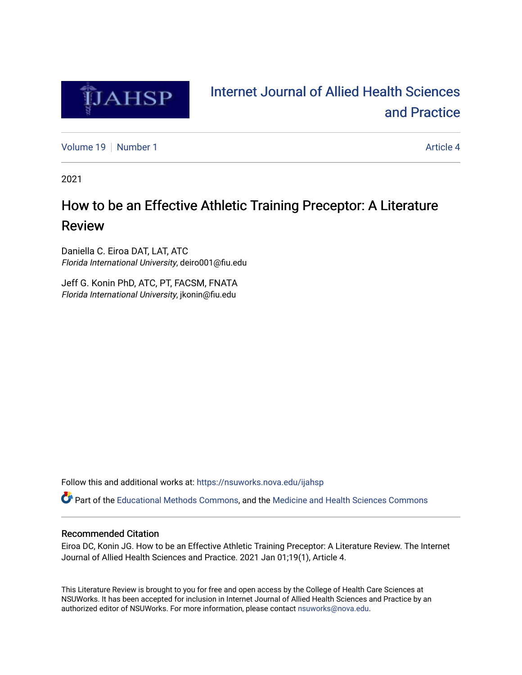

# [Internet Journal of Allied Health Sciences](https://nsuworks.nova.edu/ijahsp)  [and Practice](https://nsuworks.nova.edu/ijahsp)

[Volume 19](https://nsuworks.nova.edu/ijahsp/vol19) [Number 1](https://nsuworks.nova.edu/ijahsp/vol19/iss1) Article 4

2021

# How to be an Effective Athletic Training Preceptor: A Literature Review

Daniella C. Eiroa DAT, LAT, ATC Florida International University, deiro001@fiu.edu

Jeff G. Konin PhD, ATC, PT, FACSM, FNATA Florida International University, jkonin@fiu.edu

Follow this and additional works at: [https://nsuworks.nova.edu/ijahsp](https://nsuworks.nova.edu/ijahsp?utm_source=nsuworks.nova.edu%2Fijahsp%2Fvol19%2Fiss1%2F4&utm_medium=PDF&utm_campaign=PDFCoverPages) 

Part of the [Educational Methods Commons,](http://network.bepress.com/hgg/discipline/1227?utm_source=nsuworks.nova.edu%2Fijahsp%2Fvol19%2Fiss1%2F4&utm_medium=PDF&utm_campaign=PDFCoverPages) and the [Medicine and Health Sciences Commons](http://network.bepress.com/hgg/discipline/648?utm_source=nsuworks.nova.edu%2Fijahsp%2Fvol19%2Fiss1%2F4&utm_medium=PDF&utm_campaign=PDFCoverPages)

# Recommended Citation

Eiroa DC, Konin JG. How to be an Effective Athletic Training Preceptor: A Literature Review. The Internet Journal of Allied Health Sciences and Practice. 2021 Jan 01;19(1), Article 4.

This Literature Review is brought to you for free and open access by the College of Health Care Sciences at NSUWorks. It has been accepted for inclusion in Internet Journal of Allied Health Sciences and Practice by an authorized editor of NSUWorks. For more information, please contact [nsuworks@nova.edu.](mailto:nsuworks@nova.edu)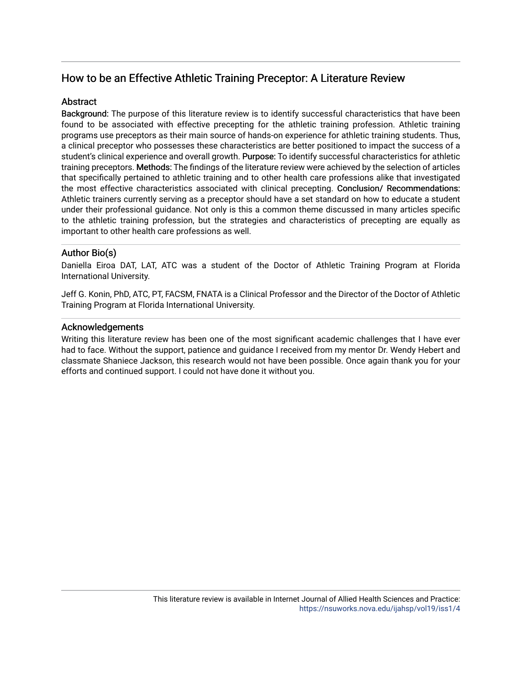# How to be an Effective Athletic Training Preceptor: A Literature Review

# **Abstract**

Background: The purpose of this literature review is to identify successful characteristics that have been found to be associated with effective precepting for the athletic training profession. Athletic training programs use preceptors as their main source of hands-on experience for athletic training students. Thus, a clinical preceptor who possesses these characteristics are better positioned to impact the success of a student's clinical experience and overall growth. Purpose: To identify successful characteristics for athletic training preceptors. Methods: The findings of the literature review were achieved by the selection of articles that specifically pertained to athletic training and to other health care professions alike that investigated the most effective characteristics associated with clinical precepting. Conclusion/ Recommendations: Athletic trainers currently serving as a preceptor should have a set standard on how to educate a student under their professional guidance. Not only is this a common theme discussed in many articles specific to the athletic training profession, but the strategies and characteristics of precepting are equally as important to other health care professions as well.

# Author Bio(s)

Daniella Eiroa DAT, LAT, ATC was a student of the Doctor of Athletic Training Program at Florida International University.

Jeff G. Konin, PhD, ATC, PT, FACSM, FNATA is a Clinical Professor and the Director of the Doctor of Athletic Training Program at Florida International University.

# Acknowledgements

Writing this literature review has been one of the most significant academic challenges that I have ever had to face. Without the support, patience and guidance I received from my mentor Dr. Wendy Hebert and classmate Shaniece Jackson, this research would not have been possible. Once again thank you for your efforts and continued support. I could not have done it without you.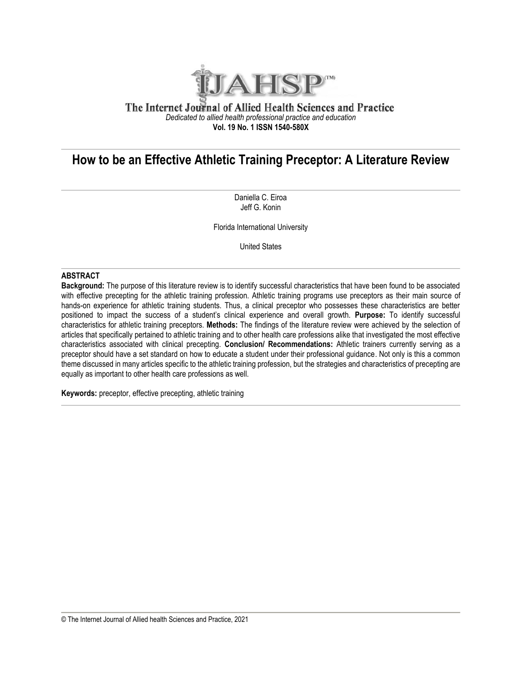

# The Internet Journal of Allied Health Sciences and Practice *Dedicated to allied health professional practice and education* **Vol. 19 No. 1 ISSN 1540-580X**

# **How to be an Effective Athletic Training Preceptor: A Literature Review**

Daniella C. Eiroa Jeff G. Konin

Florida International University

United States

#### **ABSTRACT**

**Background:** The purpose of this literature review is to identify successful characteristics that have been found to be associated with effective precepting for the athletic training profession. Athletic training programs use preceptors as their main source of hands-on experience for athletic training students. Thus, a clinical preceptor who possesses these characteristics are better positioned to impact the success of a student's clinical experience and overall growth. **Purpose:** To identify successful characteristics for athletic training preceptors. **Methods:** The findings of the literature review were achieved by the selection of articles that specifically pertained to athletic training and to other health care professions alike that investigated the most effective characteristics associated with clinical precepting. **Conclusion/ Recommendations:** Athletic trainers currently serving as a preceptor should have a set standard on how to educate a student under their professional guidance. Not only is this a common theme discussed in many articles specific to the athletic training profession, but the strategies and characteristics of precepting are equally as important to other health care professions as well.

**Keywords:** preceptor, effective precepting, athletic training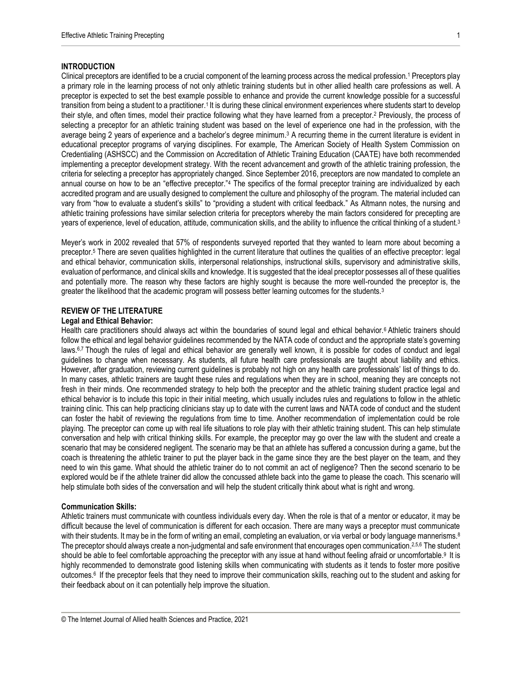## **INTRODUCTION**

Clinical preceptors are identified to be a crucial component of the learning process across the medical profession.<sup>1</sup> Preceptors play a primary role in the learning process of not only athletic training students but in other allied health care professions as well. A preceptor is expected to set the best example possible to enhance and provide the current knowledge possible for a successful transition from being a student to a practitioner.1 It is during these clinical environment experiences where students start to develop their style, and often times, model their practice following what they have learned from a preceptor.<sup>2</sup> Previously, the process of selecting a preceptor for an athletic training student was based on the level of experience one had in the profession, with the average being 2 years of experience and a bachelor's degree minimum.<sup>3</sup> A recurring theme in the current literature is evident in educational preceptor programs of varying disciplines. For example, The American Society of Health System Commission on Credentialing (ASHSCC) and the Commission on Accreditation of Athletic Training Education (CAATE) have both recommended implementing a preceptor development strategy. With the recent advancement and growth of the athletic training profession, the criteria for selecting a preceptor has appropriately changed. Since September 2016, preceptors are now mandated to complete an annual course on how to be an "effective preceptor."<sup>4</sup> The specifics of the formal preceptor training are individualized by each accredited program and are usually designed to complement the culture and philosophy of the program. The material included can vary from "how to evaluate a student's skills" to "providing a student with critical feedback." As Altmann notes, the nursing and athletic training professions have similar selection criteria for preceptors whereby the main factors considered for precepting are years of experience, level of education, attitude, communication skills, and the ability to influence the critical thinking of a student.<sup>3</sup>

Meyer's work in 2002 revealed that 57% of respondents surveyed reported that they wanted to learn more about becoming a preceptor.<sup>5</sup> There are seven qualities highlighted in the current literature that outlines the qualities of an effective preceptor: legal and ethical behavior, communication skills, interpersonal relationships, instructional skills, supervisory and administrative skills, evaluation of performance, and clinical skills and knowledge. It is suggested that the ideal preceptor possesses all of these qualities and potentially more. The reason why these factors are highly sought is because the more well-rounded the preceptor is, the greater the likelihood that the academic program will possess better learning outcomes for the students.<sup>3</sup>

# **REVIEW OF THE LITERATURE**

#### **Legal and Ethical Behavior:**

Health care practitioners should always act within the boundaries of sound legal and ethical behavior.<sup>6</sup> Athletic trainers should follow the ethical and legal behavior guidelines recommended by the NATA code of conduct and the appropriate state's governing laws.6,7 Though the rules of legal and ethical behavior are generally well known, it is possible for codes of conduct and legal guidelines to change when necessary. As students, all future health care professionals are taught about liability and ethics. However, after graduation, reviewing current guidelines is probably not high on any health care professionals' list of things to do. In many cases, athletic trainers are taught these rules and regulations when they are in school, meaning they are concepts not fresh in their minds. One recommended strategy to help both the preceptor and the athletic training student practice legal and ethical behavior is to include this topic in their initial meeting, which usually includes rules and regulations to follow in the athletic training clinic. This can help practicing clinicians stay up to date with the current laws and NATA code of conduct and the student can foster the habit of reviewing the regulations from time to time. Another recommendation of implementation could be role playing. The preceptor can come up with real life situations to role play with their athletic training student. This can help stimulate conversation and help with critical thinking skills. For example, the preceptor may go over the law with the student and create a scenario that may be considered negligent. The scenario may be that an athlete has suffered a concussion during a game, but the coach is threatening the athletic trainer to put the player back in the game since they are the best player on the team, and they need to win this game. What should the athletic trainer do to not commit an act of negligence? Then the second scenario to be explored would be if the athlete trainer did allow the concussed athlete back into the game to please the coach. This scenario will help stimulate both sides of the conversation and will help the student critically think about what is right and wrong.

#### **Communication Skills:**

Athletic trainers must communicate with countless individuals every day. When the role is that of a mentor or educator, it may be difficult because the level of communication is different for each occasion. There are many ways a preceptor must communicate with their students. It may be in the form of writing an email, completing an evaluation, or via verbal or body language mannerisms.<sup>8</sup> The preceptor should always create a non-judgmental and safe environment that encourages open communication.<sup>2,5,6</sup> The student should be able to feel comfortable approaching the preceptor with any issue at hand without feeling afraid or uncomfortable.<sup>9</sup> It is highly recommended to demonstrate good listening skills when communicating with students as it tends to foster more positive outcomes.6 If the preceptor feels that they need to improve their communication skills, reaching out to the student and asking for their feedback about on it can potentially help improve the situation.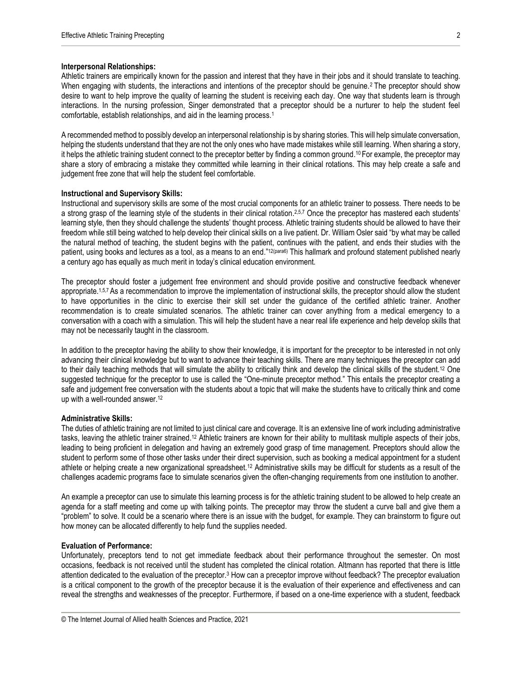#### **Interpersonal Relationships:**

Athletic trainers are empirically known for the passion and interest that they have in their jobs and it should translate to teaching. When engaging with students, the interactions and intentions of the preceptor should be genuine.<sup>2</sup> The preceptor should show desire to want to help improve the quality of learning the student is receiving each day. One way that students learn is through interactions. In the nursing profession, Singer demonstrated that a preceptor should be a nurturer to help the student feel comfortable, establish relationships, and aid in the learning process.<sup>1</sup>

A recommended method to possibly develop an interpersonal relationship is by sharing stories. This will help simulate conversation, helping the students understand that they are not the only ones who have made mistakes while still learning. When sharing a story, it helps the athletic training student connect to the preceptor better by finding a common ground. <sup>10</sup>For example, the preceptor may share a story of embracing a mistake they committed while learning in their clinical rotations. This may help create a safe and judgement free zone that will help the student feel comfortable.

#### **Instructional and Supervisory Skills:**

Instructional and supervisory skills are some of the most crucial components for an athletic trainer to possess. There needs to be a strong grasp of the learning style of the students in their clinical rotation.<sup>2,5,7</sup> Once the preceptor has mastered each students' learning style, then they should challenge the students' thought process. Athletic training students should be allowed to have their freedom while still being watched to help develop their clinical skills on a live patient. Dr. William Osler said "by what may be called the natural method of teaching, the student begins with the patient, continues with the patient, and ends their studies with the patient, using books and lectures as a tool, as a means to an end."12(para6) This hallmark and profound statement published nearly a century ago has equally as much merit in today's clinical education environment.

The preceptor should foster a judgement free environment and should provide positive and constructive feedback whenever appropriate.<sup>1,5,7</sup> As a recommendation to improve the implementation of instructional skills, the preceptor should allow the student to have opportunities in the clinic to exercise their skill set under the guidance of the certified athletic trainer. Another recommendation is to create simulated scenarios. The athletic trainer can cover anything from a medical emergency to a conversation with a coach with a simulation. This will help the student have a near real life experience and help develop skills that may not be necessarily taught in the classroom.

In addition to the preceptor having the ability to show their knowledge, it is important for the preceptor to be interested in not only advancing their clinical knowledge but to want to advance their teaching skills. There are many techniques the preceptor can add to their daily teaching methods that will simulate the ability to critically think and develop the clinical skills of the student.<sup>12</sup> One suggested technique for the preceptor to use is called the "One-minute preceptor method." This entails the preceptor creating a safe and judgement free conversation with the students about a topic that will make the students have to critically think and come up with a well-rounded answer.<sup>12</sup>

#### **Administrative Skills:**

The duties of athletic training are not limited to just clinical care and coverage. It is an extensive line of work including administrative tasks, leaving the athletic trainer strained.<sup>12</sup> Athletic trainers are known for their ability to multitask multiple aspects of their jobs, leading to being proficient in delegation and having an extremely good grasp of time management. Preceptors should allow the student to perform some of those other tasks under their direct supervision, such as booking a medical appointment for a student athlete or helping create a new organizational spreadsheet.<sup>12</sup> Administrative skills may be difficult for students as a result of the challenges academic programs face to simulate scenarios given the often-changing requirements from one institution to another.

An example a preceptor can use to simulate this learning process is for the athletic training student to be allowed to help create an agenda for a staff meeting and come up with talking points. The preceptor may throw the student a curve ball and give them a "problem" to solve. It could be a scenario where there is an issue with the budget, for example. They can brainstorm to figure out how money can be allocated differently to help fund the supplies needed.

## **Evaluation of Performance:**

Unfortunately, preceptors tend to not get immediate feedback about their performance throughout the semester. On most occasions, feedback is not received until the student has completed the clinical rotation. Altmann has reported that there is little attention dedicated to the evaluation of the preceptor.<sup>3</sup> How can a preceptor improve without feedback? The preceptor evaluation is a critical component to the growth of the preceptor because it is the evaluation of their experience and effectiveness and can reveal the strengths and weaknesses of the preceptor. Furthermore, if based on a one-time experience with a student, feedback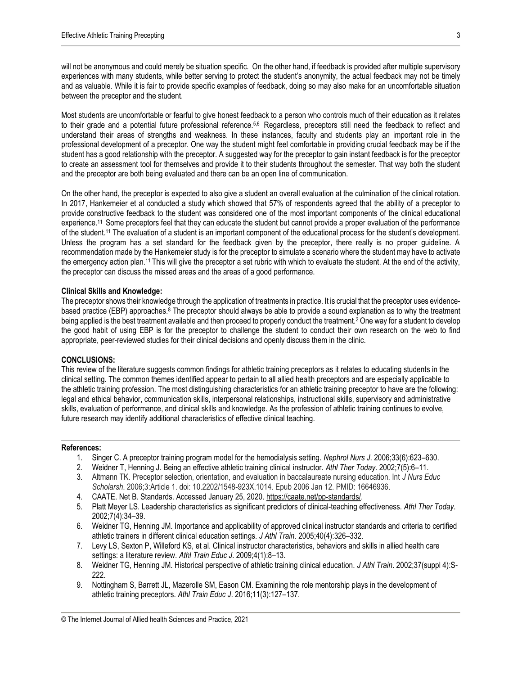will not be anonymous and could merely be situation specific. On the other hand, if feedback is provided after multiple supervisory experiences with many students, while better serving to protect the student's anonymity, the actual feedback may not be timely and as valuable. While it is fair to provide specific examples of feedback, doing so may also make for an uncomfortable situation between the preceptor and the student.

Most students are uncomfortable or fearful to give honest feedback to a person who controls much of their education as it relates to their grade and a potential future professional reference.<sup>5,6</sup> Regardless, preceptors still need the feedback to reflect and understand their areas of strengths and weakness. In these instances, faculty and students play an important role in the professional development of a preceptor. One way the student might feel comfortable in providing crucial feedback may be if the student has a good relationship with the preceptor. A suggested way for the preceptor to gain instant feedback is for the preceptor to create an assessment tool for themselves and provide it to their students throughout the semester. That way both the student and the preceptor are both being evaluated and there can be an open line of communication.

On the other hand, the preceptor is expected to also give a student an overall evaluation at the culmination of the clinical rotation. In 2017, Hankemeier et al conducted a study which showed that 57% of respondents agreed that the ability of a preceptor to provide constructive feedback to the student was considered one of the most important components of the clinical educational experience.<sup>11</sup> Some preceptors feel that they can educate the student but cannot provide a proper evaluation of the performance of the student.<sup>11</sup> The evaluation of a student is an important component of the educational process for the student's development. Unless the program has a set standard for the feedback given by the preceptor, there really is no proper guideline. A recommendation made by the Hankemeier study is for the preceptor to simulate a scenario where the student may have to activate the emergency action plan.<sup>11</sup> This will give the preceptor a set rubric with which to evaluate the student. At the end of the activity, the preceptor can discuss the missed areas and the areas of a good performance.

## **Clinical Skills and Knowledge:**

The preceptor shows their knowledge through the application of treatments in practice. It is crucial that the preceptor uses evidencebased practice (EBP) approaches.<sup>8</sup> The preceptor should always be able to provide a sound explanation as to why the treatment being applied is the best treatment available and then proceed to properly conduct the treatment.<sup>2</sup> One way for a student to develop the good habit of using EBP is for the preceptor to challenge the student to conduct their own research on the web to find appropriate, peer-reviewed studies for their clinical decisions and openly discuss them in the clinic.

## **CONCLUSIONS:**

This review of the literature suggests common findings for athletic training preceptors as it relates to educating students in the clinical setting. The common themes identified appear to pertain to all allied health preceptors and are especially applicable to the athletic training profession. The most distinguishing characteristics for an athletic training preceptor to have are the following: legal and ethical behavior, communication skills, interpersonal relationships, instructional skills, supervisory and administrative skills, evaluation of performance, and clinical skills and knowledge. As the profession of athletic training continues to evolve, future research may identify additional characteristics of effective clinical teaching.

#### **References:**

- 1. Singer C. A preceptor training program model for the hemodialysis setting. *Nephrol Nurs J*. 2006;33(6):623–630.
- 2. Weidner T, Henning J. Being an effective athletic training clinical instructor. *Athl Ther Today*. 2002;7(5):6–11.
- 3. Altmann TK. Preceptor selection, orientation, and evaluation in baccalaureate nursing education. Int *J Nurs Educ Scholarsh*. 2006;3:Article 1. doi: 10.2202/1548-923X.1014. Epub 2006 Jan 12. PMID: 16646936.
- 4. CAATE. Net B. Standards. Accessed January 25, 2020[. https://caate.net/pp-standards/.](about:blank)
- 5. Platt Meyer LS. Leadership characteristics as significant predictors of clinical-teaching effectiveness. *Athl Ther Today*. 2002;7(4):34–39.
- 6. Weidner TG, Henning JM. Importance and applicability of approved clinical instructor standards and criteria to certified athletic trainers in different clinical education settings. *J Athl Train*. 2005;40(4):326–332.
- 7. Levy LS, Sexton P, Willeford KS, et al. Clinical instructor characteristics, behaviors and skills in allied health care settings: a literature review. *Athl Train Educ J*. 2009;4(1):8–13.
- 8. Weidner TG, Henning JM. Historical perspective of athletic training clinical education. *J Athl Train*. 2002;37(suppl 4):S-222.
- 9. Nottingham S, Barrett JL, Mazerolle SM, Eason CM. Examining the role mentorship plays in the development of athletic training preceptors. *Athl Train Educ J*. 2016;11(3):127–137.

<sup>©</sup> The Internet Journal of Allied health Sciences and Practice, 2021